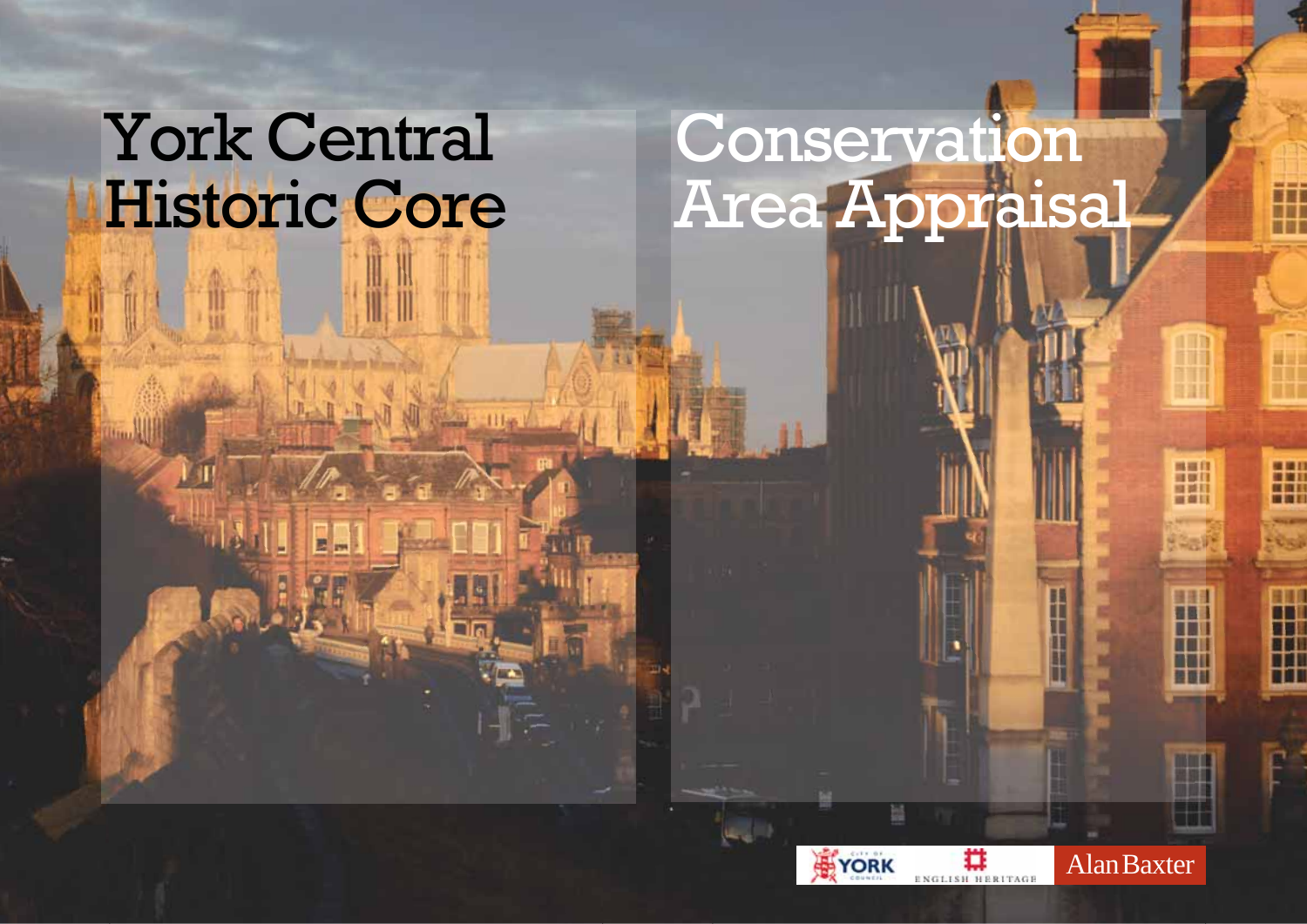## **York Central** Historic Core

# Conservation<br>Area Appraisal



**Alan Baxter** 

H

H

H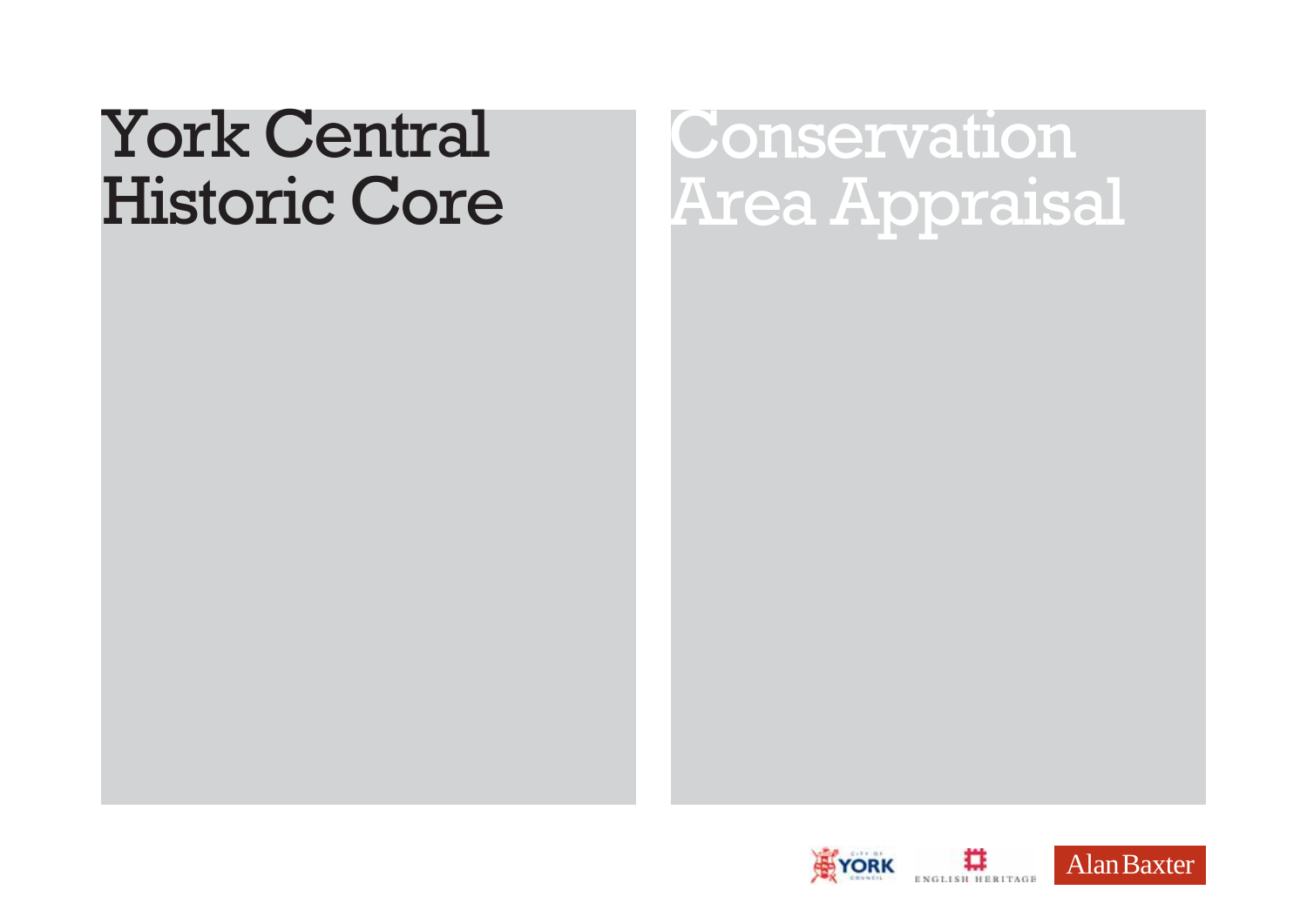## **York Central Historic Core**

Conservation Area Appraisal

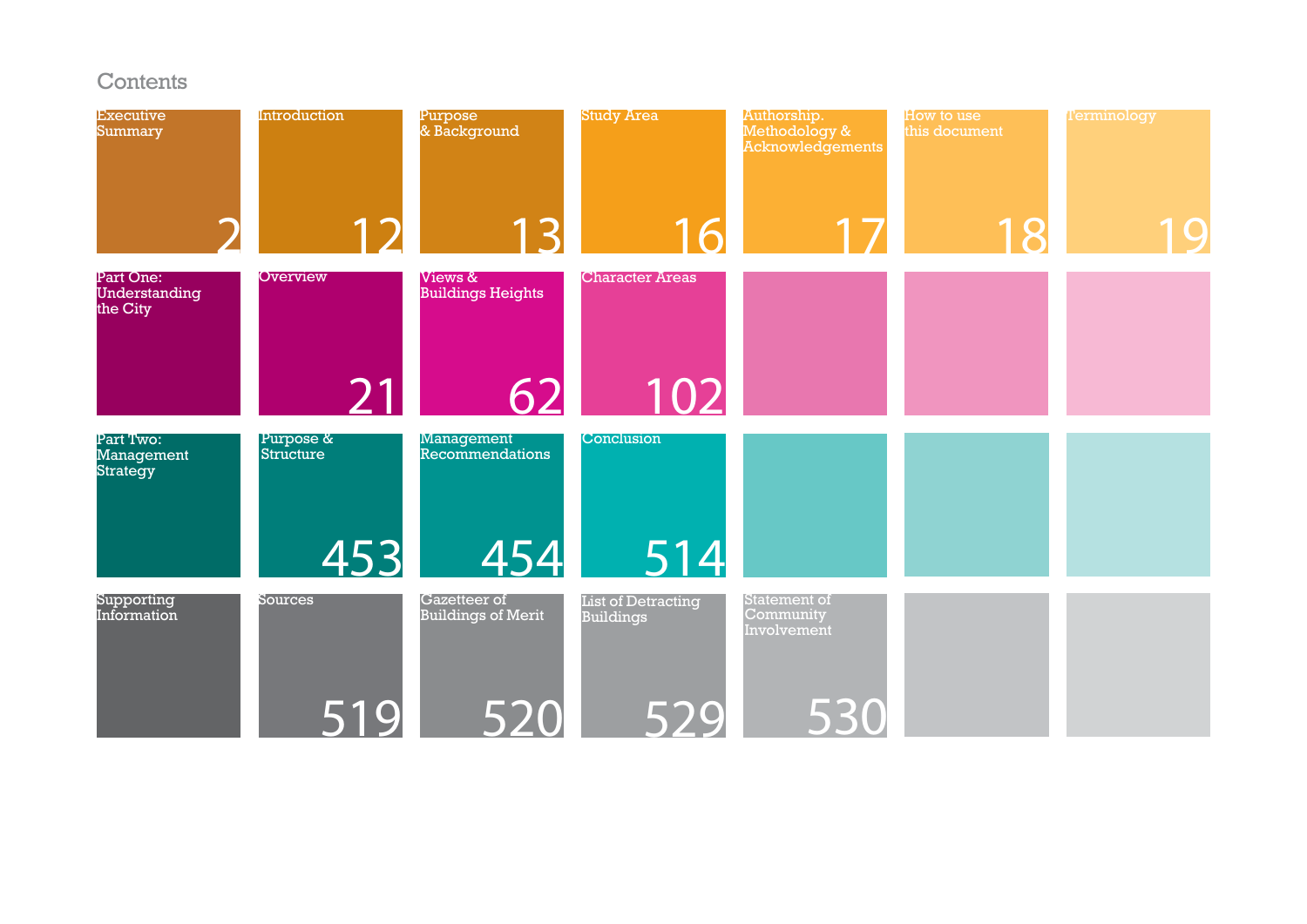#### Contents

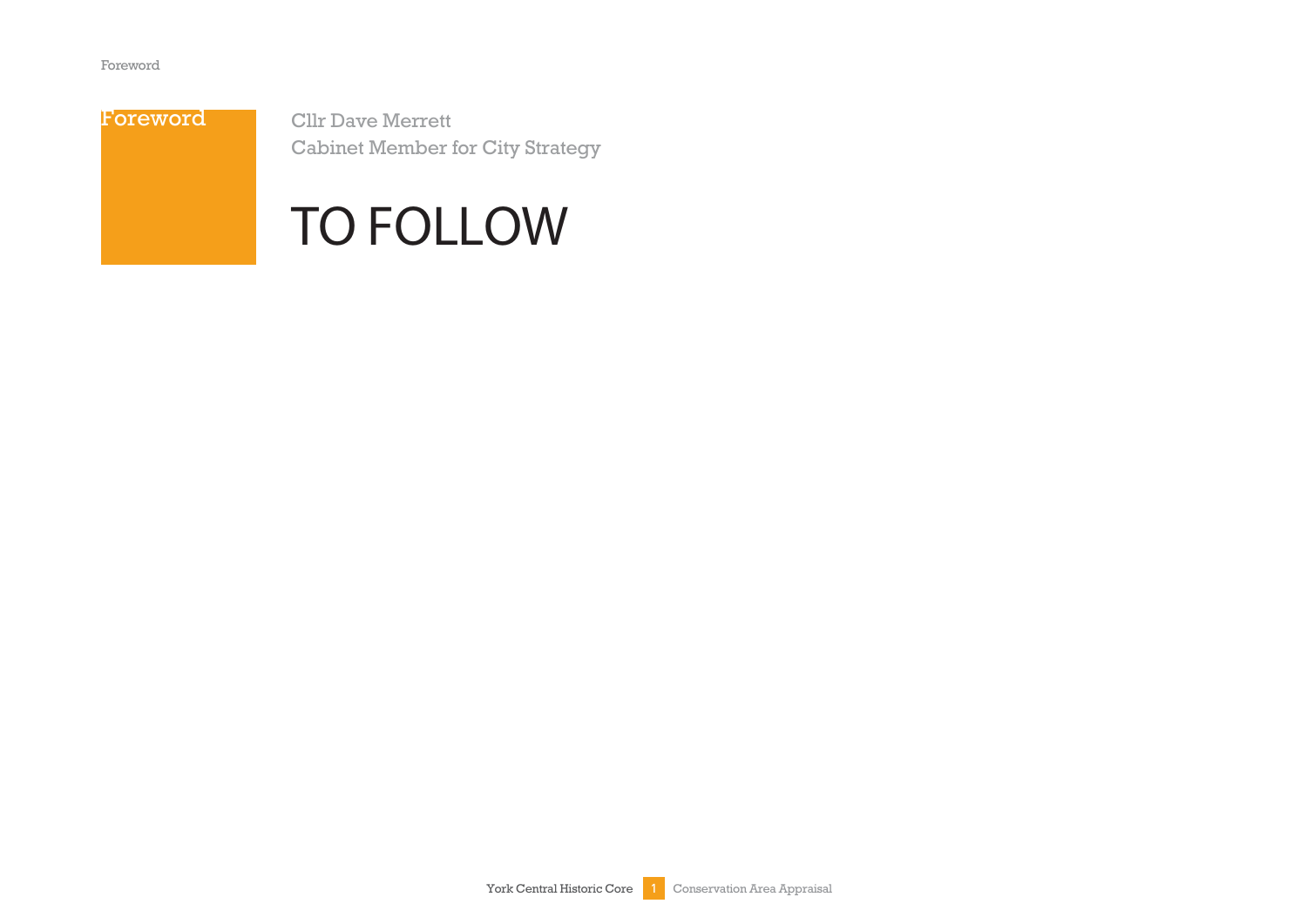

**Cllr Dave Merrett Cabinet Member for City Strategy** 

### **TO FOLLOW**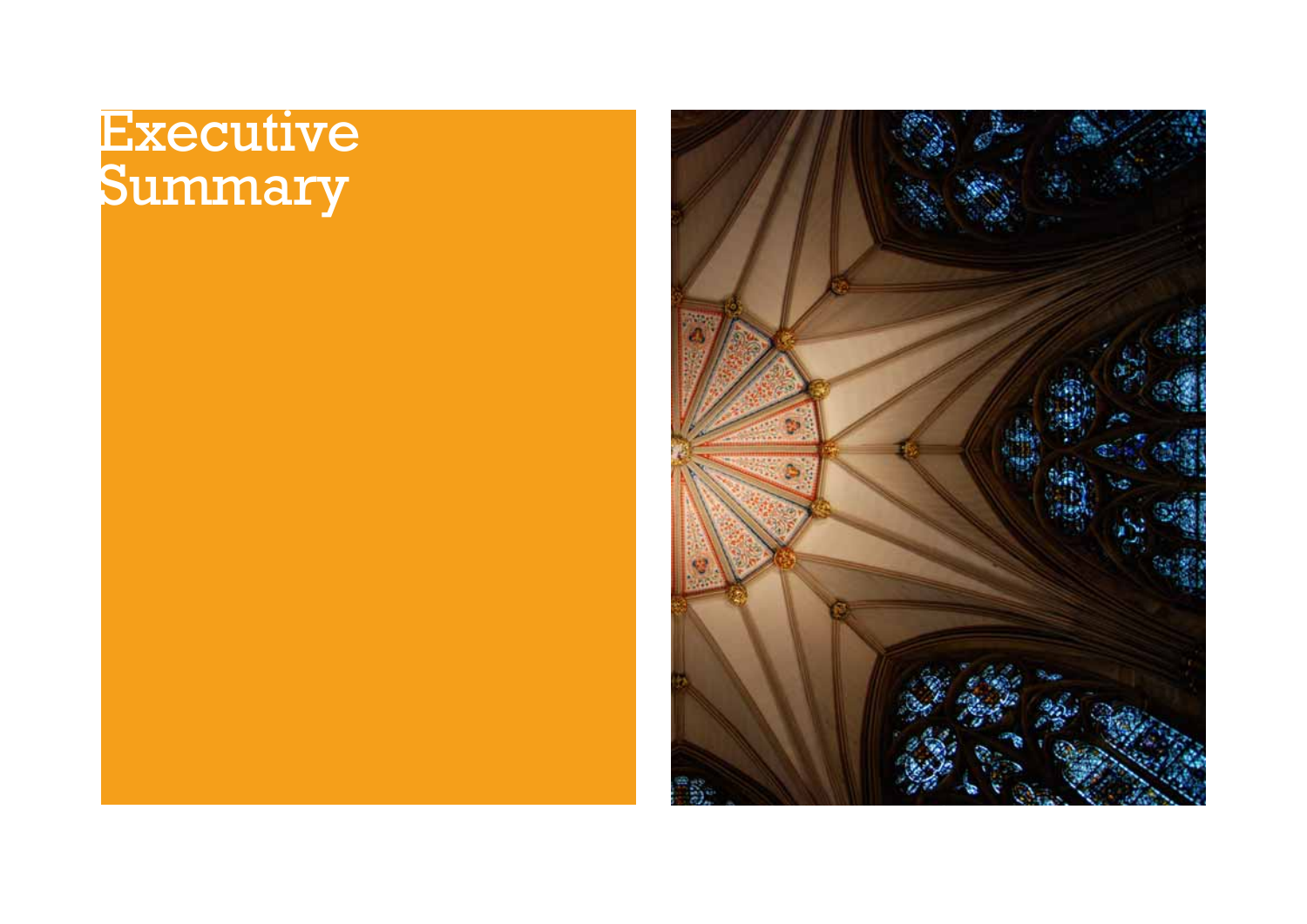## Executive<br>Summary

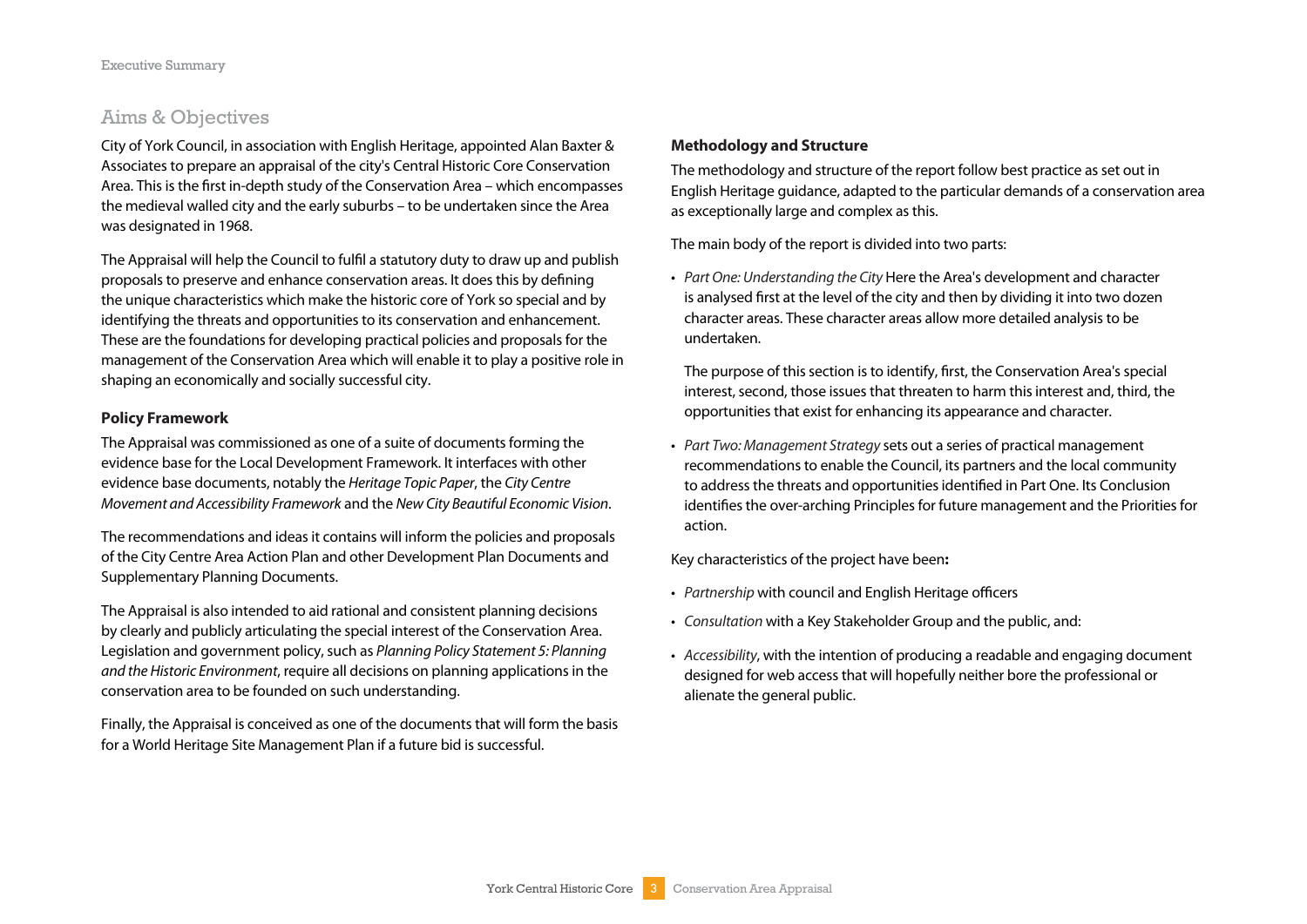#### Aims & Objectives

City of York Council, in association with English Heritage, appointed Alan Baxter & Associates to prepare an appraisal of the city's Central Historic Core Conservation Area. This is the first in-depth study of the Conservation Area – which encompasses the medieval walled city and the early suburbs – to be undertaken since the Area was designated in 1968.

The Appraisal will help the Council to fulfil a statutory duty to draw up and publish proposals to preserve and enhance conservation areas. It does this by defining the unique characteristics which make the historic core of York so special and by identifying the threats and opportunities to its conservation and enhancement. These are the foundations for developing practical policies and proposals for the management of the Conservation Area which will enable it to play a positive role in shaping an economically and socially successful city.

#### **Policy Framework**

The Appraisal was commissioned as one of a suite of documents forming the evidence base for the Local Development Framework. It interfaces with other evidence base documents, notably the Heritage Topic Paper, the City Centre Movement and Accessibility Framework and the New City Beautiful Economic Vision.

The recommendations and ideas it contains will inform the policies and proposals of the City Centre Area Action Plan and other Development Plan Documents and Supplementary Planning Documents.

The Appraisal is also intended to aid rational and consistent planning decisions by clearly and publicly articulating the special interest of the Conservation Area. Legislation and government policy, such as Planning Policy Statement 5: Planning and the Historic Environment, require all decisions on planning applications in the conservation area to be founded on such understanding.

Finally, the Appraisal is conceived as one of the documents that will form the basis for a World Heritage Site Management Plan if a future bid is successful.

#### **Methodology and Structure**

The methodology and structure of the report follow best practice as set out in English Heritage guidance, adapted to the particular demands of a conservation area as exceptionally large and complex as this.

The main body of the report is divided into two parts:

• Part One: Understanding the City Here the Area's development and character is analysed first at the level of the city and then by dividing it into two dozen character areas. These character areas allow more detailed analysis to be undertaken.

 The purpose of this section is to identify, first, the Conservation Area's special interest, second, those issues that threaten to harm this interest and, third, the opportunities that exist for enhancing its appearance and character.

• Part Two: Management Strategy sets out a series of practical management recommendations to enable the Council, its partners and the local community to address the threats and opportunities identified in Part One. Its Conclusion identifies the over-arching Principles for future management and the Priorities for action.

Key characteristics of the project have been**:**

- Partnership with council and English Heritage officers
- Consultation with a Key Stakeholder Group and the public, and:
- Accessibility, with the intention of producing a readable and engaging document designed for web access that will hopefully neither bore the professional or alienate the general public.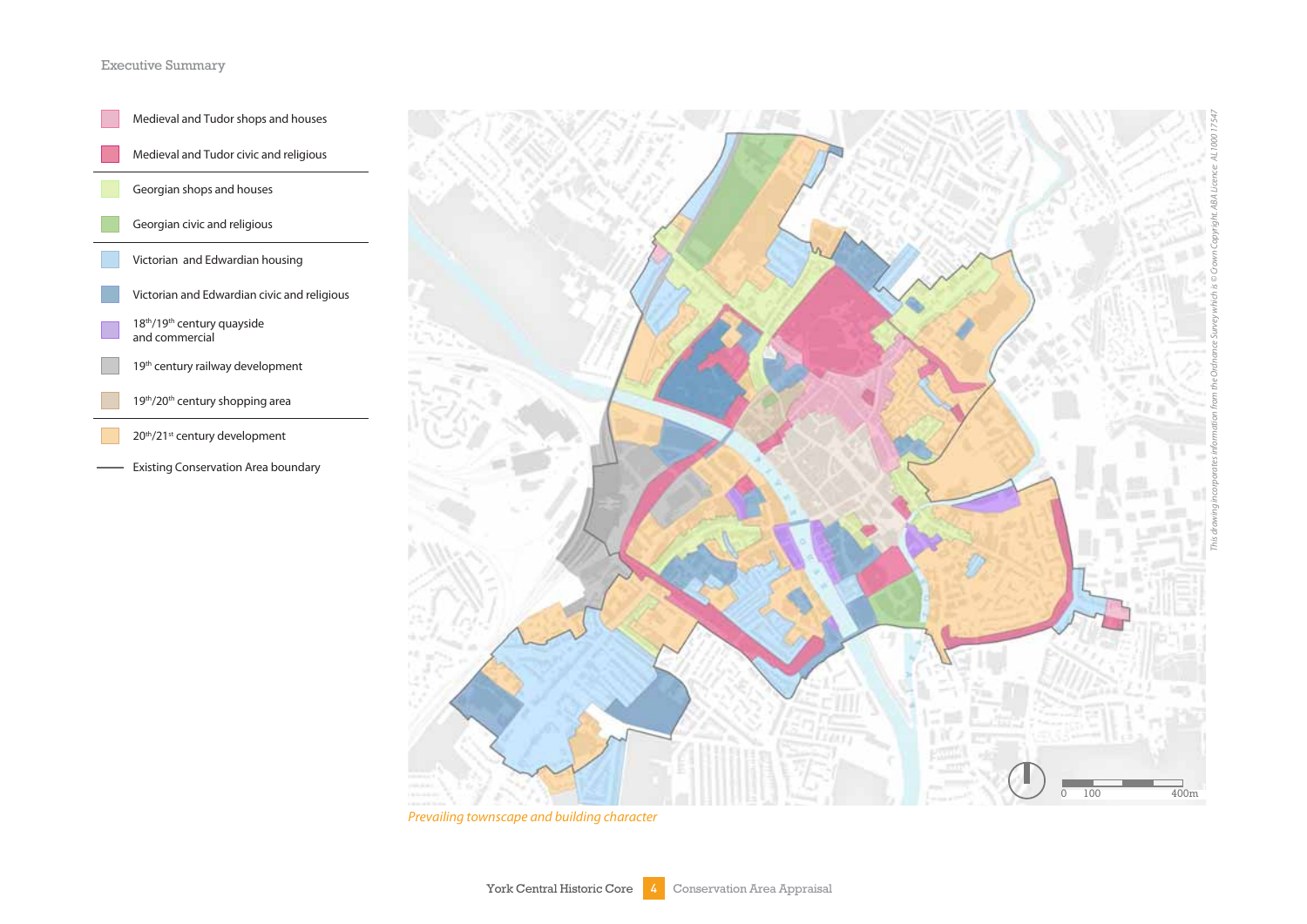#### Executive Summary





Prevailing townscape and building character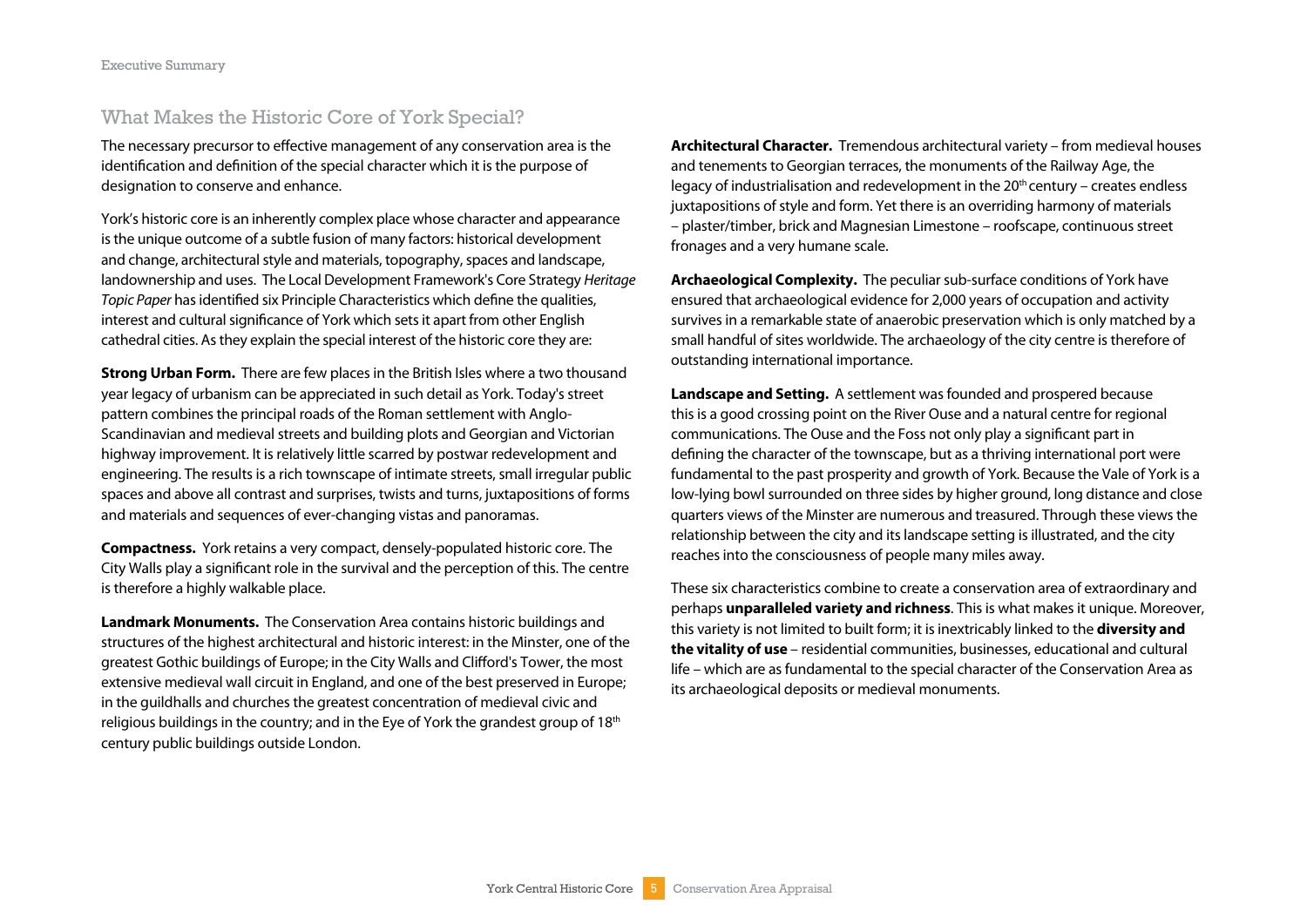#### What Makes the Historic Core of York Special?

The necessary precursor to effective management of any conservation area is the identification and definition of the special character which it is the purpose of designation to conserve and enhance.

York's historic core is an inherently complex place whose character and appearance is the unique outcome of a subtle fusion of many factors: historical development and change, architectural style and materials, topography, spaces and landscape, landownership and uses. The Local Development Framework's Core Strategy Heritage Topic Paper has identified six Principle Characteristics which define the qualities, interest and cultural significance of York which sets it apart from other English cathedral cities. As they explain the special interest of the historic core they are:

**Strong Urban Form.** There are few places in the British Isles where a two thousand year legacy of urbanism can be appreciated in such detail as York. Today's street pattern combines the principal roads of the Roman settlement with Anglo-Scandinavian and medieval streets and building plots and Georgian and Victorian highway improvement. It is relatively little scarred by postwar redevelopment and engineering. The results is a rich townscape of intimate streets, small irregular public spaces and above all contrast and surprises, twists and turns, juxtapositions of forms and materials and sequences of ever-changing vistas and panoramas.

**Compactness.** York retains a very compact, densely-populated historic core. The City Walls play a significant role in the survival and the perception of this. The centre is therefore a highly walkable place.

**Landmark Monuments.** The Conservation Area contains historic buildings and structures of the highest architectural and historic interest: in the Minster, one of the greatest Gothic buildings of Europe; in the City Walls and Clifford's Tower, the most extensive medieval wall circuit in England, and one of the best preserved in Europe; in the guildhalls and churches the greatest concentration of medieval civic and religious buildings in the country; and in the Eye of York the grandest group of 18<sup>th</sup> century public buildings outside London.

**Architectural Character.** Tremendous architectural variety – from medieval houses and tenements to Georgian terraces, the monuments of the Railway Age, the legacy of industrialisation and redevelopment in the  $20<sup>th</sup>$  century – creates endless juxtapositions of style and form. Yet there is an overriding harmony of materials – plaster/timber, brick and Magnesian Limestone – roofscape, continuous street fronages and a very humane scale.

**Archaeological Complexity.** The peculiar sub-surface conditions of York have ensured that archaeological evidence for 2,000 years of occupation and activity survives in a remarkable state of anaerobic preservation which is only matched by a small handful of sites worldwide. The archaeology of the city centre is therefore of outstanding international importance.

**Landscape and Setting.** A settlement was founded and prospered because this is a good crossing point on the River Ouse and a natural centre for regional communications. The Ouse and the Foss not only play a significant part in defining the character of the townscape, but as a thriving international port were fundamental to the past prosperity and growth of York. Because the Vale of York is a low-lying bowl surrounded on three sides by higher ground, long distance and close quarters views of the Minster are numerous and treasured. Through these views the relationship between the city and its landscape setting is illustrated, and the city reaches into the consciousness of people many miles away.

These six characteristics combine to create a conservation area of extraordinary and perhaps **unparalleled variety and richness**. This is what makes it unique. Moreover, this variety is not limited to built form; it is inextricably linked to the **diversity and the vitality of use** – residential communities, businesses, educational and cultural life – which are as fundamental to the special character of the Conservation Area as its archaeological deposits or medieval monuments.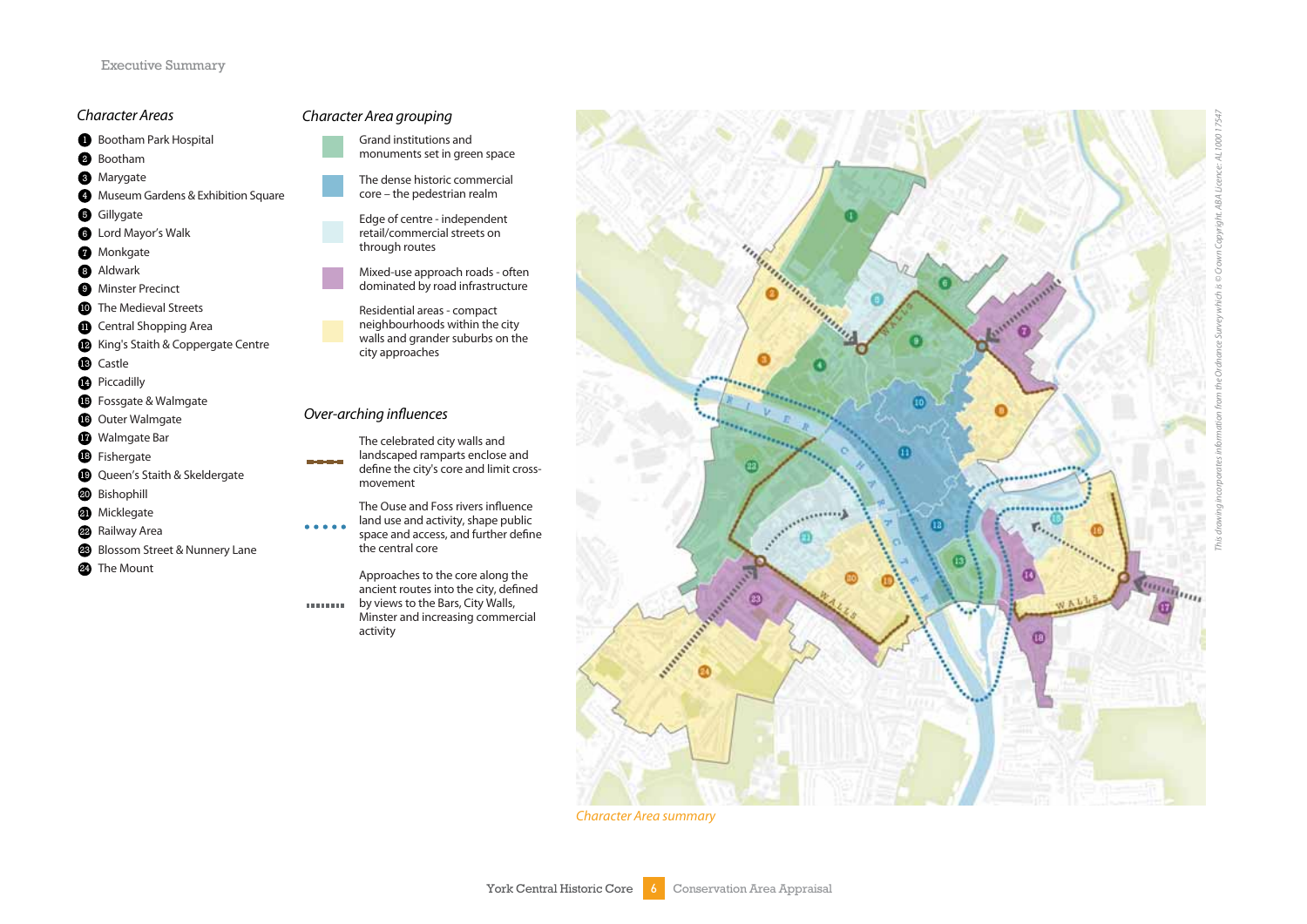#### Character Areas

- Bootham Park Hospital
- **B** Bootham
- **6** Marygate
- **Museum Gardens & Exhibition Square**
- **G** Gillygate
- **B** Lord Mayor's Walk 123345678910
- **O** Monkgate
- **a** Aldwark
- **Minster Precinct**
- **The Medieval Streets**
- **D** Central Shopping Area
- King's Staith & Coppergate Centre
- **B** Castle
- **Piccadilly**
- **G** Fossgate & Walmgate
- **G** Outer Walmgate
- $\bigcirc$  Walmgate Bar
- **B** Fishergate
- Queen's Staith & Skeldergate
- **20** Bishophill
- **a** Micklegate
- **22** Railway Area
- Blossom Street & Nunnery Lane
- **2** The Mount

#### Character Area grouping

- Grand institutions and
- monuments set in green space
- The dense historic commercial core – the pedestrian realm
- Edge of centre independent retail/commercial streets on through routes



Residential areas - compact neighbourhoods within the city walls and grander suburbs on the city approaches

#### Over-arching influences

- The celebrated city walls and landscaped ramparts enclose and define the city's core and limit crossmovement
- The Ouse and Foss rivers influence land use and activity, shape public space and access, and further define the central core

Approaches to the core along the ancient routes into the city, defined by views to the Bars, City Walls, **CONTRACTO** Minster and increasing commercial activity



Character Area summary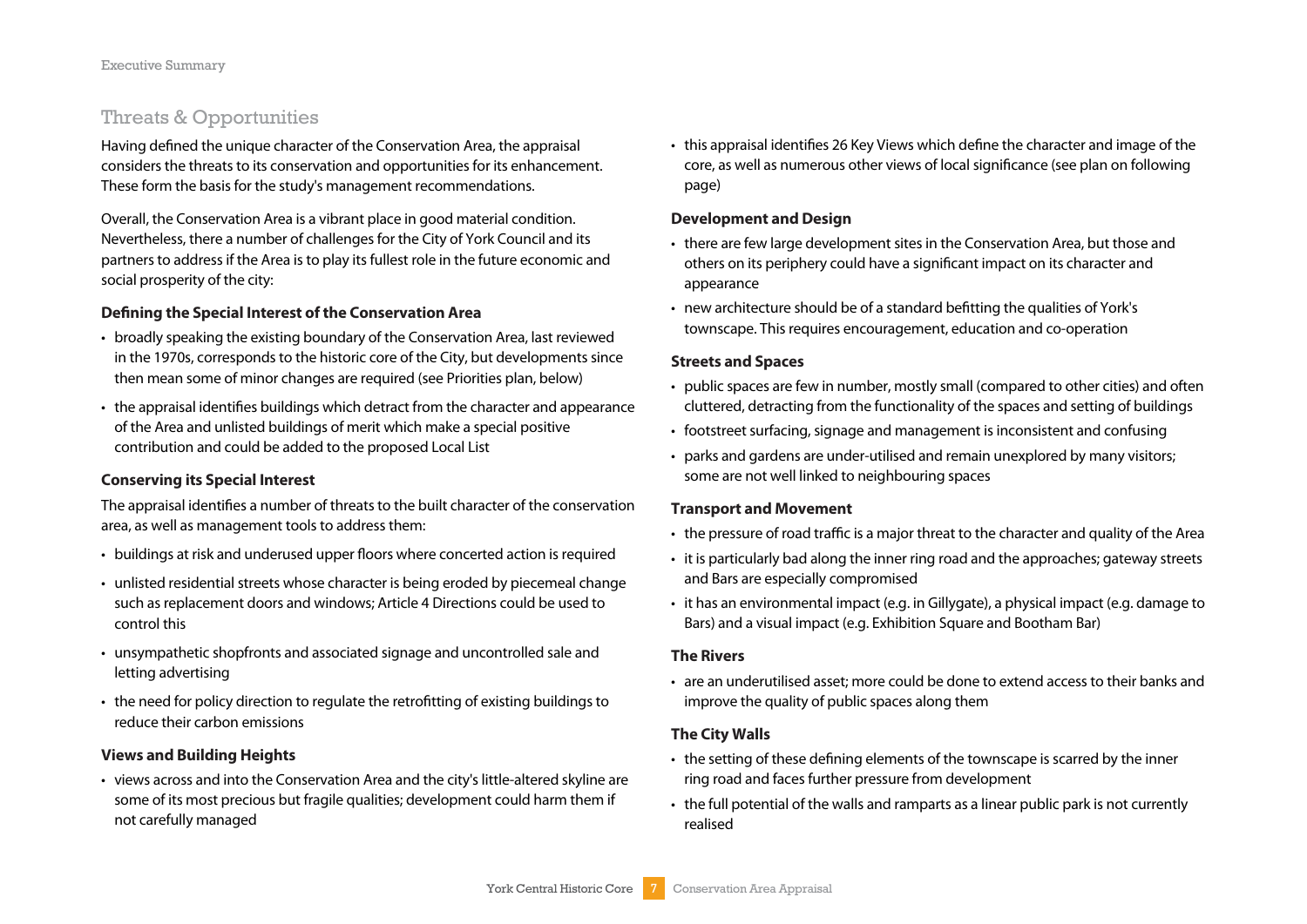#### Threats & Opportunities

Having defined the unique character of the Conservation Area, the appraisal considers the threats to its conservation and opportunities for its enhancement. These form the basis for the study's management recommendations.

Overall, the Conservation Area is a vibrant place in good material condition. Nevertheless, there a number of challenges for the City of York Council and its partners to address if the Area is to play its fullest role in the future economic and social prosperity of the city:

#### **Defining the Special Interest of the Conservation Area**

- broadly speaking the existing boundary of the Conservation Area, last reviewed in the 1970s, corresponds to the historic core of the City, but developments since then mean some of minor changes are required (see Priorities plan, below)
- the appraisal identifies buildings which detract from the character and appearance of the Area and unlisted buildings of merit which make a special positive contribution and could be added to the proposed Local List

#### **Conserving its Special Interest**

The appraisal identifies a number of threats to the built character of the conservation area, as well as management tools to address them:

- buildings at risk and underused upper floors where concerted action is required
- unlisted residential streets whose character is being eroded by piecemeal change such as replacement doors and windows; Article 4 Directions could be used to control this
- unsympathetic shopfronts and associated signage and uncontrolled sale and letting advertising
- the need for policy direction to regulate the retrofitting of existing buildings to reduce their carbon emissions

#### **Views and Building Heights**

• views across and into the Conservation Area and the city's little-altered skyline are some of its most precious but fragile qualities; development could harm them if not carefully managed

• this appraisal identifies 26 Key Views which define the character and image of the core, as well as numerous other views of local significance (see plan on following page)

#### **Development and Design**

- there are few large development sites in the Conservation Area, but those and others on its periphery could have a significant impact on its character and appearance
- new architecture should be of a standard befitting the qualities of York's townscape. This requires encouragement, education and co-operation

#### **Streets and Spaces**

- public spaces are few in number, mostly small (compared to other cities) and often cluttered, detracting from the functionality of the spaces and setting of buildings
- footstreet surfacing, signage and management is inconsistent and confusing
- parks and gardens are under-utilised and remain unexplored by many visitors; some are not well linked to neighbouring spaces

#### **Transport and Movement**

- the pressure of road traffic is a major threat to the character and quality of the Area
- it is particularly bad along the inner ring road and the approaches; gateway streets and Bars are especially compromised
- it has an environmental impact (e.g. in Gillygate), a physical impact (e.g. damage to Bars) and a visual impact (e.g. Exhibition Square and Bootham Bar)

#### **The Rivers**

• are an underutilised asset; more could be done to extend access to their banks and improve the quality of public spaces along them

#### **The City Walls**

- the setting of these defining elements of the townscape is scarred by the inner ring road and faces further pressure from development
- the full potential of the walls and ramparts as a linear public park is not currently realised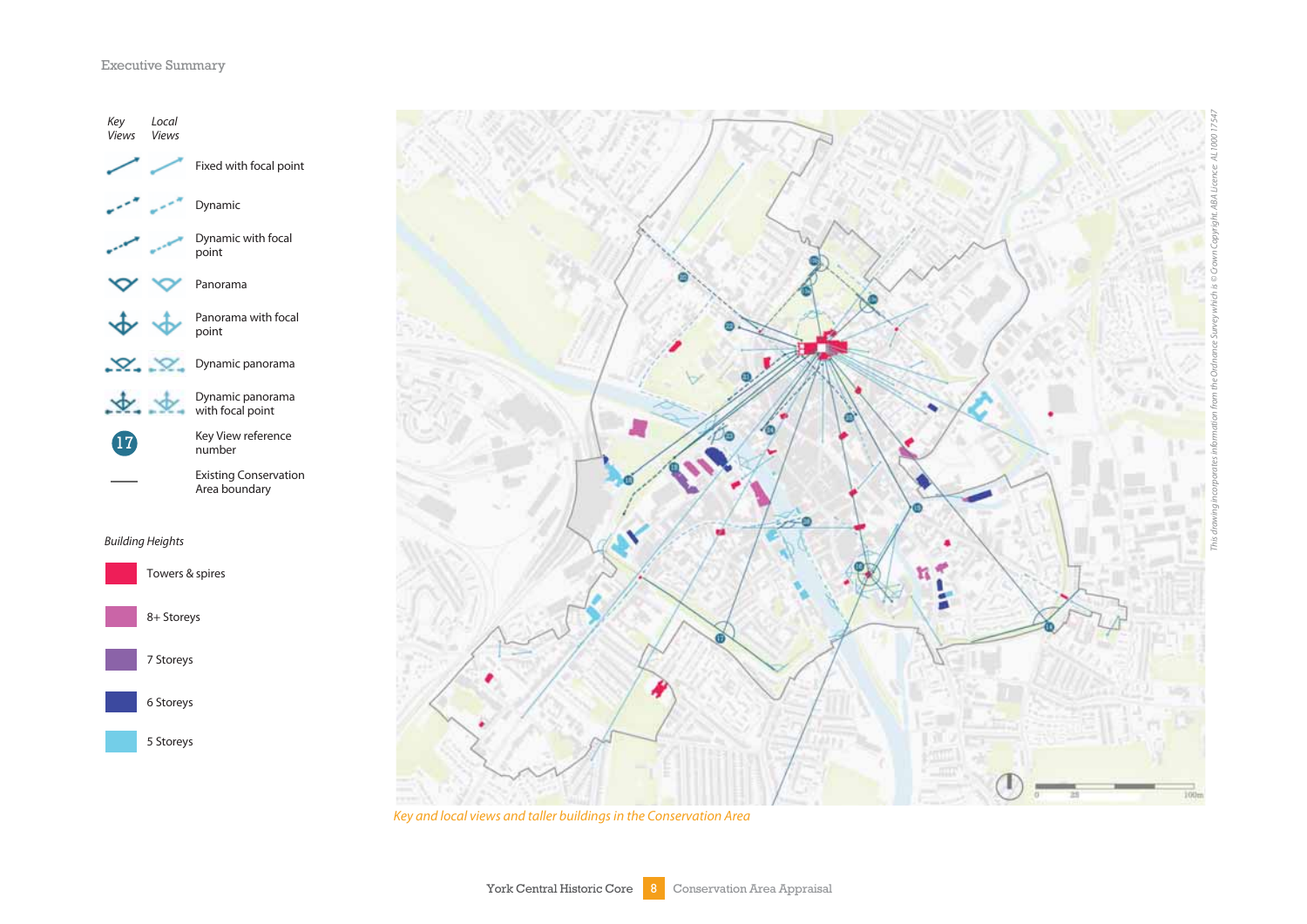#### Executive Summary





Key and local views and taller buildings in the Conservation Area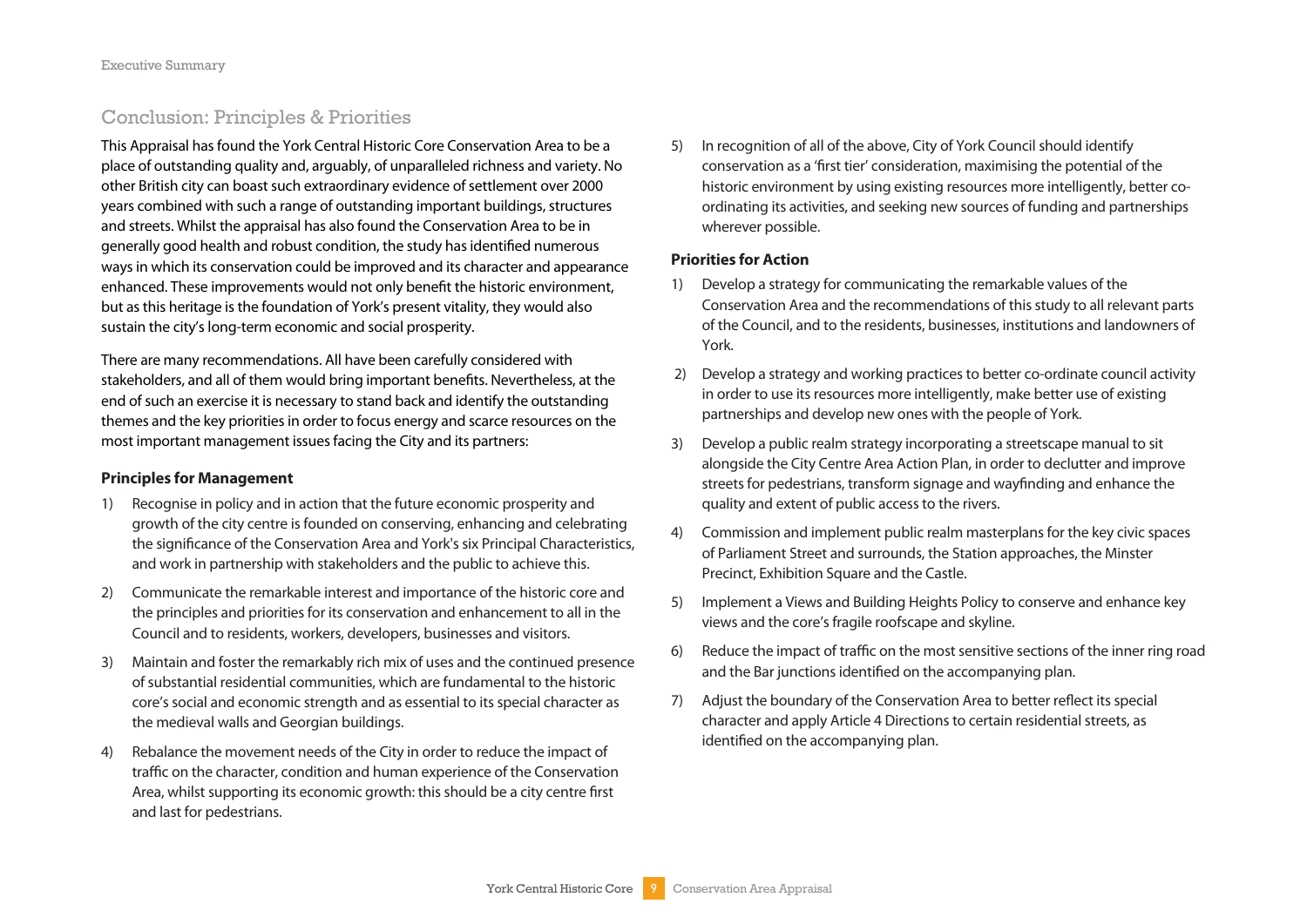#### Conclusion: Principles & Priorities

This Appraisal has found the York Central Historic Core Conservation Area to be a place of outstanding quality and, arguably, of unparalleled richness and variety. No other British city can boast such extraordinary evidence of settlement over 2000 years combined with such a range of outstanding important buildings, structures and streets. Whilst the appraisal has also found the Conservation Area to be in generally good health and robust condition, the study has identified numerous ways in which its conservation could be improved and its character and appearance enhanced. These improvements would not only benefit the historic environment, but as this heritage is the foundation of York's present vitality, they would also sustain the city's long-term economic and social prosperity.

There are many recommendations. All have been carefully considered with stakeholders, and all of them would bring important benefits. Nevertheless, at the end of such an exercise it is necessary to stand back and identify the outstanding themes and the key priorities in order to focus energy and scarce resources on the most important management issues facing the City and its partners:

#### **Principles for Management**

- 1) Recognise in policy and in action that the future economic prosperity and growth of the city centre is founded on conserving, enhancing and celebrating the significance of the Conservation Area and York's six Principal Characteristics, and work in partnership with stakeholders and the public to achieve this.
- 2) Communicate the remarkable interest and importance of the historic core and the principles and priorities for its conservation and enhancement to all in the Council and to residents, workers, developers, businesses and visitors.
- 3) Maintain and foster the remarkably rich mix of uses and the continued presence of substantial residential communities, which are fundamental to the historic core's social and economic strength and as essential to its special character as the medieval walls and Georgian buildings.
- 4) Rebalance the movement needs of the City in order to reduce the impact of traffic on the character, condition and human experience of the Conservation Area, whilst supporting its economic growth: this should be a city centre first and last for pedestrians.

5) In recognition of all of the above, City of York Council should identify conservation as a 'first tier' consideration, maximising the potential of the historic environment by using existing resources more intelligently, better coordinating its activities, and seeking new sources of funding and partnerships wherever possible.

#### **Priorities for Action**

- 1) Develop a strategy for communicating the remarkable values of the Conservation Area and the recommendations of this study to all relevant parts of the Council, and to the residents, businesses, institutions and landowners of York.
- 2) Develop a strategy and working practices to better co-ordinate council activity in order to use its resources more intelligently, make better use of existing partnerships and develop new ones with the people of York.
- 3) Develop a public realm strategy incorporating a streetscape manual to sit alongside the City Centre Area Action Plan, in order to declutter and improve streets for pedestrians, transform signage and wayfinding and enhance the quality and extent of public access to the rivers.
- 4) Commission and implement public realm masterplans for the key civic spaces of Parliament Street and surrounds, the Station approaches, the Minster Precinct, Exhibition Square and the Castle.
- 5) Implement a Views and Building Heights Policy to conserve and enhance key views and the core's fragile roofscape and skyline.
- 6) Reduce the impact of traffic on the most sensitive sections of the inner ring road and the Bar junctions identified on the accompanying plan.
- 7) Adjust the boundary of the Conservation Area to better reflect its special character and apply Article 4 Directions to certain residential streets, as identified on the accompanying plan.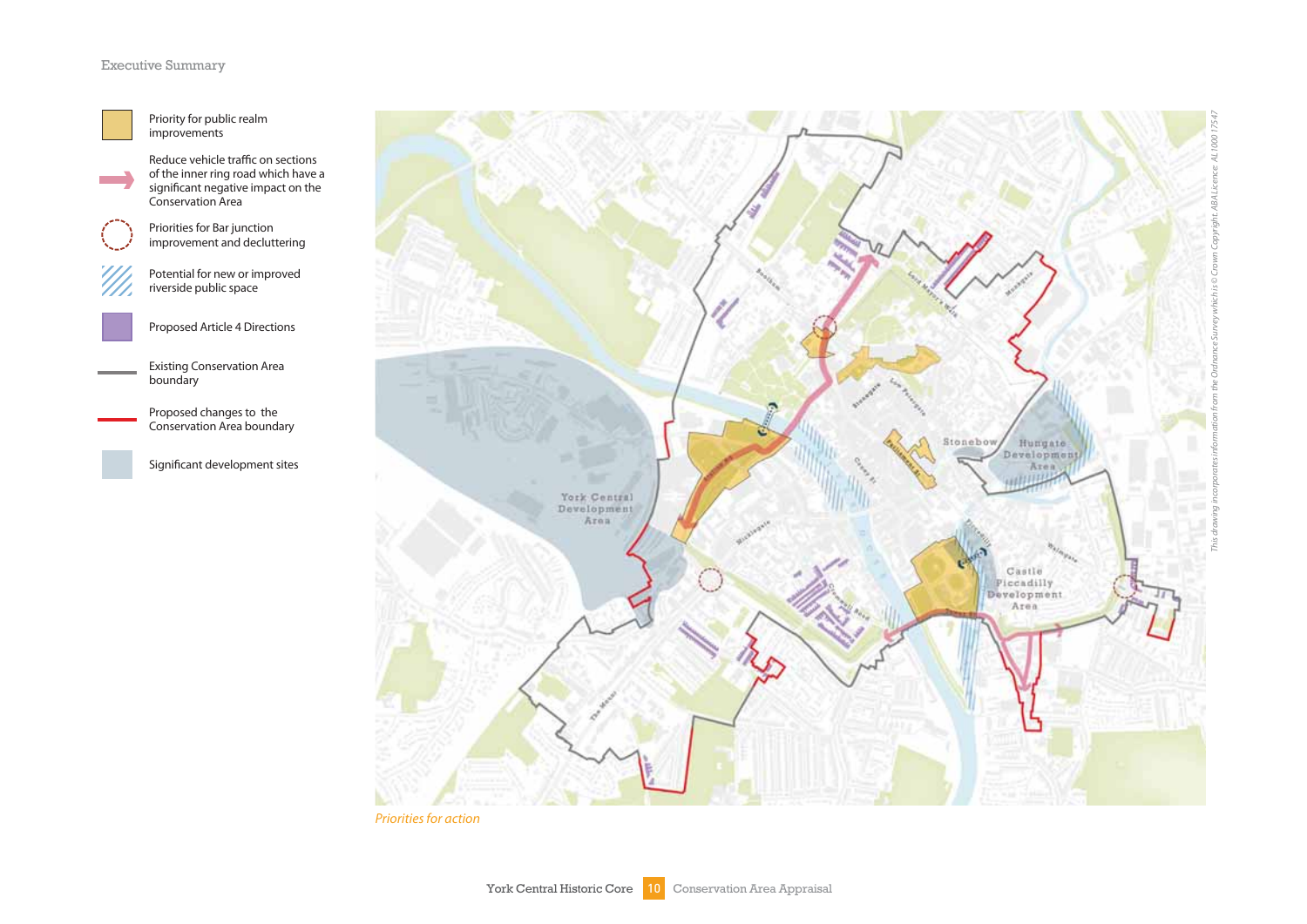#### Executive Summary



**College** 

Priority for public realm improvements

Reduce vehicle traffic on sections of the inner ring road which have a significant negative impact on the Conservation Area

Priorities for Bar junction improvement and decluttering



Potential for new or improved riverside public space



Proposed Article 4 Directions

Existing Conservation Area boundary

> Proposed changes to the Conservation Area boundary

Significant development sites



Priorities for action